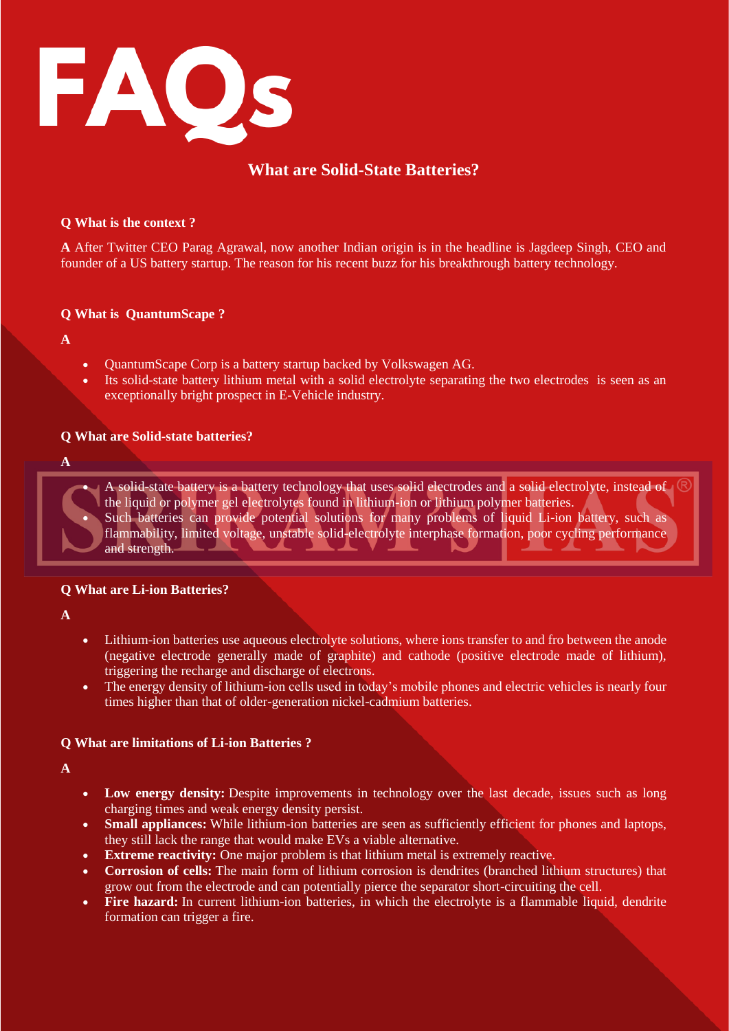

# **What are Solid-State Batteries?**

#### **Q What is the context ?**

**A** After Twitter CEO Parag Agrawal, now another Indian origin is in the headline is Jagdeep Singh, CEO and founder of a US battery startup. The reason for his recent buzz for his breakthrough battery technology.

# **Q What is QuantumScape ?**

**A** 

- QuantumScape Corp is a battery startup backed by Volkswagen AG.
- Its solid-state battery lithium metal with a solid electrolyte separating the two electrodes is seen as an exceptionally bright prospect in E-Vehicle industry.

# **Q What are Solid-state batteries?**

**A** 

A solid-state battery is a battery technology that uses solid electrodes and a solid electrolyte, instead of the liquid or polymer gel electrolytes found in lithium-ion or lithium polymer batteries. Such batteries can provide potential solutions for many problems of liquid Li-ion battery, such as flammability, limited voltage, unstable solid-electrolyte interphase formation, poor cycling performance and strength.

#### **Q What are Li-ion Batteries?**

**A**

- Lithium-ion batteries use aqueous electrolyte solutions, where ions transfer to and fro between the anode (negative electrode generally made of graphite) and cathode (positive electrode made of lithium), triggering the recharge and discharge of electrons.
- The energy density of lithium-ion cells used in today's mobile phones and electric vehicles is nearly four times higher than that of older-generation nickel-cadmium batteries.

# **Q What are limitations of Li-ion Batteries ?**

**A** 

- **Low energy density:** Despite improvements in technology over the last decade, issues such as long charging times and weak energy density persist.
- **Small appliances:** While lithium-ion batteries are seen as sufficiently efficient for phones and laptops, they still lack the range that would make EVs a viable alternative.
- **Extreme reactivity:** One major problem is that lithium metal is extremely reactive.
- **Corrosion of cells:** The main form of lithium corrosion is dendrites (branched lithium structures) that grow out from the electrode and can potentially pierce the separator short-circuiting the cell.
- **Fire hazard:** In current lithium-ion batteries, in which the electrolyte is a flammable liquid, dendrite formation can trigger a fire.